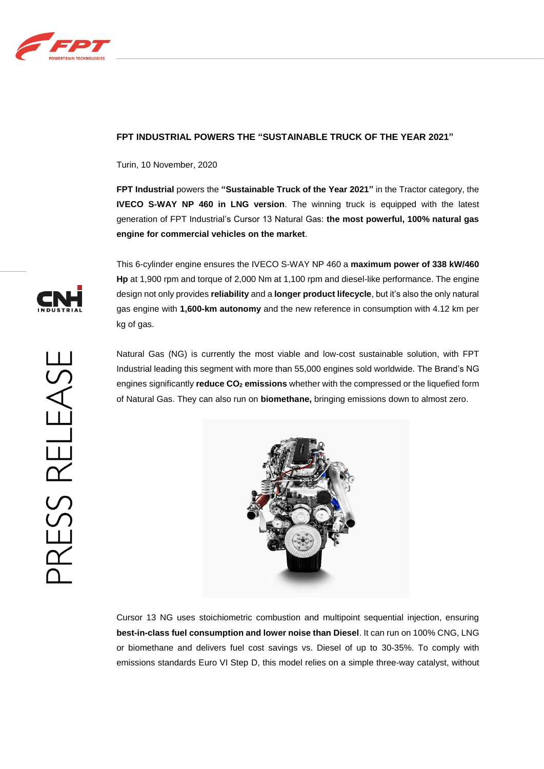

## **FPT INDUSTRIAL POWERS THE "SUSTAINABLE TRUCK OF THE YEAR 2021"**

Turin, 10 November, 2020

**FPT Industrial** powers the **"Sustainable Truck of the Year 2021"** in the Tractor category, the **IVECO S-WAY NP 460 in LNG version**. The winning truck is equipped with the latest generation of FPT Industrial's Cursor 13 Natural Gas: **the most powerful, 100% natural gas engine for commercial vehicles on the market**.

This 6-cylinder engine ensures the IVECO S-WAY NP 460 a **maximum power of 338 kW/460 Hp** at 1,900 rpm and torque of 2,000 Nm at 1,100 rpm and diesel-like performance. The engine design not only provides **reliability** and a **longer product lifecycle**, but it's also the only natural gas engine with **1,600-km autonomy** and the new reference in consumption with 4.12 km per kg of gas.

Natural Gas (NG) is currently the most viable and low-cost sustainable solution, with FPT Industrial leading this segment with more than 55,000 engines sold worldwide. The Brand's NG engines significantly **reduce CO<sup>2</sup> emissions** whether with the compressed or the liquefied form of Natural Gas. They can also run on **biomethane,** bringing emissions down to almost zero.



Cursor 13 NG uses stoichiometric combustion and multipoint sequential injection, ensuring **best-in-class fuel consumption and lower noise than Diesel**. It can run on 100% CNG, LNG or biomethane and delivers fuel cost savings vs. Diesel of up to 30-35%. To comply with emissions standards Euro VI Step D, this model relies on a simple three-way catalyst, without